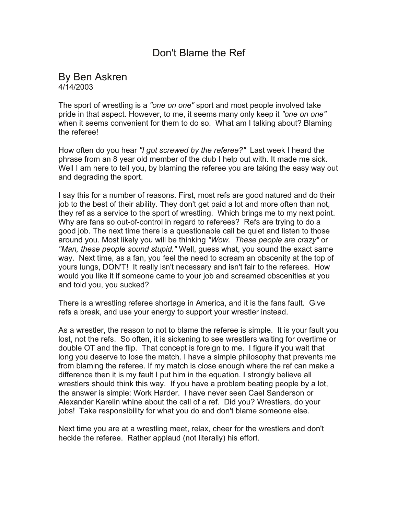## Don't Blame the Ref

## By Ben Askren 4/14/2003

The sport of wrestling is a *"one on one"* sport and most people involved take pride in that aspect. However, to me, it seems many only keep it *"one on one"* when it seems convenient for them to do so. What am I talking about? Blaming the referee!

How often do you hear *"I got screwed by the referee?"* Last week I heard the phrase from an 8 year old member of the club I help out with. It made me sick. Well I am here to tell you, by blaming the referee you are taking the easy way out and degrading the sport.

I say this for a number of reasons. First, most refs are good natured and do their job to the best of their ability. They don't get paid a lot and more often than not, they ref as a service to the sport of wrestling. Which brings me to my next point. Why are fans so out-of-control in regard to referees? Refs are trying to do a good job. The next time there is a questionable call be quiet and listen to those around you. Most likely you will be thinking *"Wow. These people are crazy"* or *"Man, these people sound stupid."* Well, guess what, you sound the exact same way. Next time, as a fan, you feel the need to scream an obscenity at the top of yours lungs, DON'T! It really isn't necessary and isn't fair to the referees. How would you like it if someone came to your job and screamed obscenities at you and told you, you sucked?

There is a wrestling referee shortage in America, and it is the fans fault. Give refs a break, and use your energy to support your wrestler instead.

As a wrestler, the reason to not to blame the referee is simple. It is your fault you lost, not the refs. So often, it is sickening to see wrestlers waiting for overtime or double OT and the flip. That concept is foreign to me. I figure if you wait that long you deserve to lose the match. I have a simple philosophy that prevents me from blaming the referee. If my match is close enough where the ref can make a difference then it is my fault I put him in the equation. I strongly believe all wrestlers should think this way. If you have a problem beating people by a lot, the answer is simple: Work Harder. I have never seen Cael Sanderson or Alexander Karelin whine about the call of a ref. Did you? Wrestlers, do your jobs! Take responsibility for what you do and don't blame someone else.

Next time you are at a wrestling meet, relax, cheer for the wrestlers and don't heckle the referee. Rather applaud (not literally) his effort.